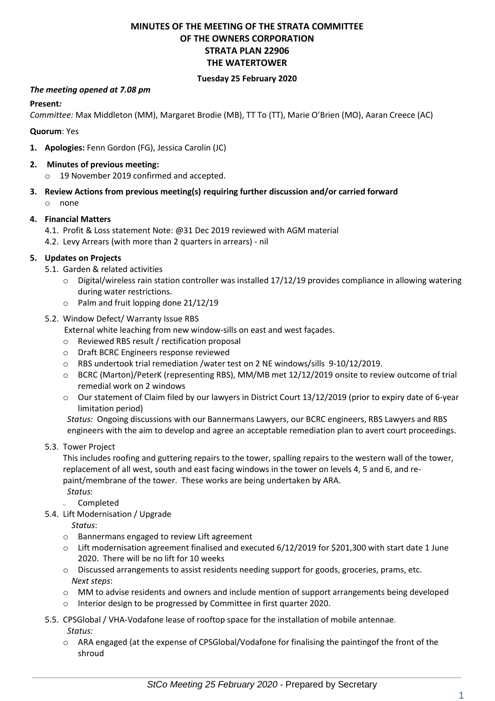# **MINUTES OF THE MEETING OF THE STRATA COMMITTEE OF THE OWNERS CORPORATION STRATA PLAN 22906 THE WATERTOWER**

#### **Tuesday 25 February 2020**

#### *The meeting opened at 7.08 pm*

#### **Present***:*

*Committee:* Max Middleton (MM), Margaret Brodie (MB), TT To (TT), Marie O'Brien (MO), Aaran Creece (AC)

#### **Quorum**: Yes

**1. Apologies:** Fenn Gordon (FG), Jessica Carolin (JC)

#### **2. Minutes of previous meeting:**

- o 19 November 2019 confirmed and accepted.
- **3. Review Actions from previous meeting(s) requiring further discussion and/or carried forward** o none

#### **4. Financial Matters**

- 4.1. Profit & Loss statement Note: @31 Dec 2019 reviewed with AGM material
- 4.2. Levy Arrears (with more than 2 quarters in arrears) nil

#### **5. Updates on Projects**

- 5.1. Garden & related activities
	- $\circ$  Digital/wireless rain station controller was installed 17/12/19 provides compliance in allowing watering during water restrictions.
	- o Palm and fruit lopping done 21/12/19

#### 5.2. Window Defect/ Warranty Issue RBS

- External white leaching from new window-sills on east and west façades.
- o Reviewed RBS result / rectification proposal
- o Draft BCRC Engineers response reviewed
- o RBS undertook trial remediation /water test on 2 NE windows/sills 9-10/12/2019.
- o BCRC (Marton)/PeterK (representing RBS), MM/MB met 12/12/2019 onsite to review outcome of trial remedial work on 2 windows
- o Our statement of Claim filed by our lawyers in District Court 13/12/2019 (prior to expiry date of 6-year limitation period)

*Status:* Ongoing discussions with our Bannermans Lawyers, our BCRC engineers, RBS Lawyers and RBS engineers with the aim to develop and agree an acceptable remediation plan to avert court proceedings.

5.3. Tower Project

This includes roofing and guttering repairs to the tower, spalling repairs to the western wall of the tower, replacement of all west, south and east facing windows in the tower on levels 4, 5 and 6, and repaint/membrane of the tower. These works are being undertaken by ARA. *Status*:

- **completed**
- 5.4. Lift Modernisation / Upgrade

*Status*:

- o Bannermans engaged to review Lift agreement
- o Lift modernisation agreement finalised and executed 6/12/2019 for \$201,300 with start date 1 June 2020. There will be no lift for 10 weeks
- $\circ$  Discussed arrangements to assist residents needing support for goods, groceries, prams, etc. *Next steps*:
- o MM to advise residents and owners and include mention of support arrangements being developed
- o Interior design to be progressed by Committee in first quarter 2020.
- 5.5. CPSGlobal / VHA-Vodafone lease of rooftop space for the installation of mobile antennae*. Status:* 
	- o ARA engaged (at the expense of CPSGlobal/Vodafone for finalising the paintingof the front of the shroud

 $\_$  , and the set of the set of the set of the set of the set of the set of the set of the set of the set of the set of the set of the set of the set of the set of the set of the set of the set of the set of the set of th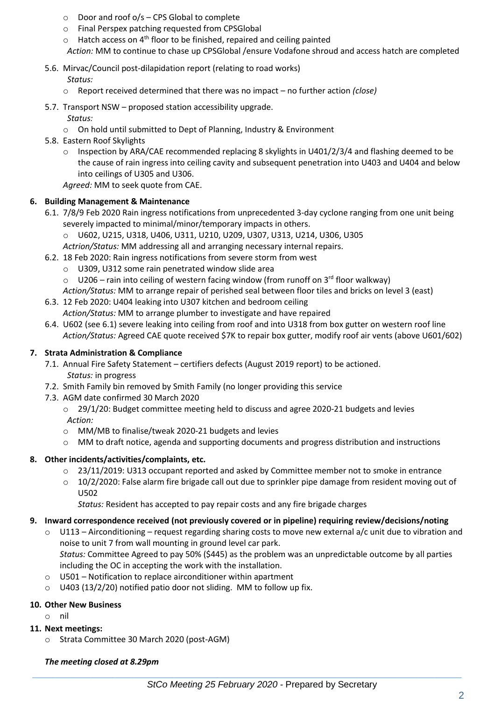- $\circ$  Door and roof o/s CPS Global to complete
- o Final Perspex patching requested from CPSGlobal
- $\circ$  Hatch access on 4<sup>th</sup> floor to be finished, repaired and ceiling painted *Action:* MM to continue to chase up CPSGlobal /ensure Vodafone shroud and access hatch are completed
- 5.6. Mirvac/Council post-dilapidation report (relating to road works) *Status:*
	- o Report received determined that there was no impact no further action *(close)*
- 5.7. Transport NSW proposed station accessibility upgrade.
	- *Status:*
	- o On hold until submitted to Dept of Planning, Industry & Environment
- 5.8. Eastern Roof Skylights
	- o Inspection by ARA/CAE recommended replacing 8 skylights in U401/2/3/4 and flashing deemed to be the cause of rain ingress into ceiling cavity and subsequent penetration into U403 and U404 and below into ceilings of U305 and U306.

*Agreed:* MM to seek quote from CAE.

## **6. Building Management & Maintenance**

- 6.1. 7/8/9 Feb 2020 Rain ingress notifications from unprecedented 3-day cyclone ranging from one unit being severely impacted to minimal/minor/temporary impacts in others.
	- o U602, U215, U318, U406, U311, U210, U209, U307, U313, U214, U306, U305
	- *Actrion/Status:* MM addressing all and arranging necessary internal repairs.
- 6.2. 18 Feb 2020: Rain ingress notifications from severe storm from west
	- o U309, U312 some rain penetrated window slide area
	- $\circ$  U206 rain into ceiling of western facing window (from runoff on 3<sup>rd</sup> floor walkway)
	- *Action/Status:* MM to arrange repair of perished seal between floor tiles and bricks on level 3 (east)
- 6.3. 12 Feb 2020: U404 leaking into U307 kitchen and bedroom ceiling *Action/Status:* MM to arrange plumber to investigate and have repaired
- 6.4. U602 (see 6.1) severe leaking into ceiling from roof and into U318 from box gutter on western roof line *Action/Status:* Agreed CAE quote received \$7K to repair box gutter, modify roof air vents (above U601/602)

## **7. Strata Administration & Compliance**

- 7.1. Annual Fire Safety Statement certifiers defects (August 2019 report) to be actioned. *Status:* in progress
- 7.2. Smith Family bin removed by Smith Family (no longer providing this service
- 7.3. AGM date confirmed 30 March 2020
	- o 29/1/20: Budget committee meeting held to discuss and agree 2020-21 budgets and levies *Action:*
	- o MM/MB to finalise/tweak 2020-21 budgets and levies
	- o MM to draft notice, agenda and supporting documents and progress distribution and instructions

## **8. Other incidents/activities/complaints, etc.**

- o 23/11/2019: U313 occupant reported and asked by Committee member not to smoke in entrance
- $\circ$  10/2/2020: False alarm fire brigade call out due to sprinkler pipe damage from resident moving out of U502

*Status:* Resident has accepted to pay repair costs and any fire brigade charges

## **9. Inward correspondence received (not previously covered or in pipeline) requiring review/decisions/noting**

- $\circ$  U113 Airconditioning request regarding sharing costs to move new external a/c unit due to vibration and noise to unit 7 from wall mounting in ground level car park. *Status:* Committee Agreed to pay 50% (\$445) as the problem was an unpredictable outcome by all parties including the OC in accepting the work with the installation.
- o U501 Notification to replace airconditioner within apartment
- o U403 (13/2/20) notified patio door not sliding. MM to follow up fix.

## **10. Other New Business**

- o nil
- **11. Next meetings:** 
	- o Strata Committee 30 March 2020 (post-AGM)

## *The meeting closed at 8.29pm*

 $\_$  , and the set of the set of the set of the set of the set of the set of the set of the set of the set of the set of the set of the set of the set of the set of the set of the set of the set of the set of the set of th